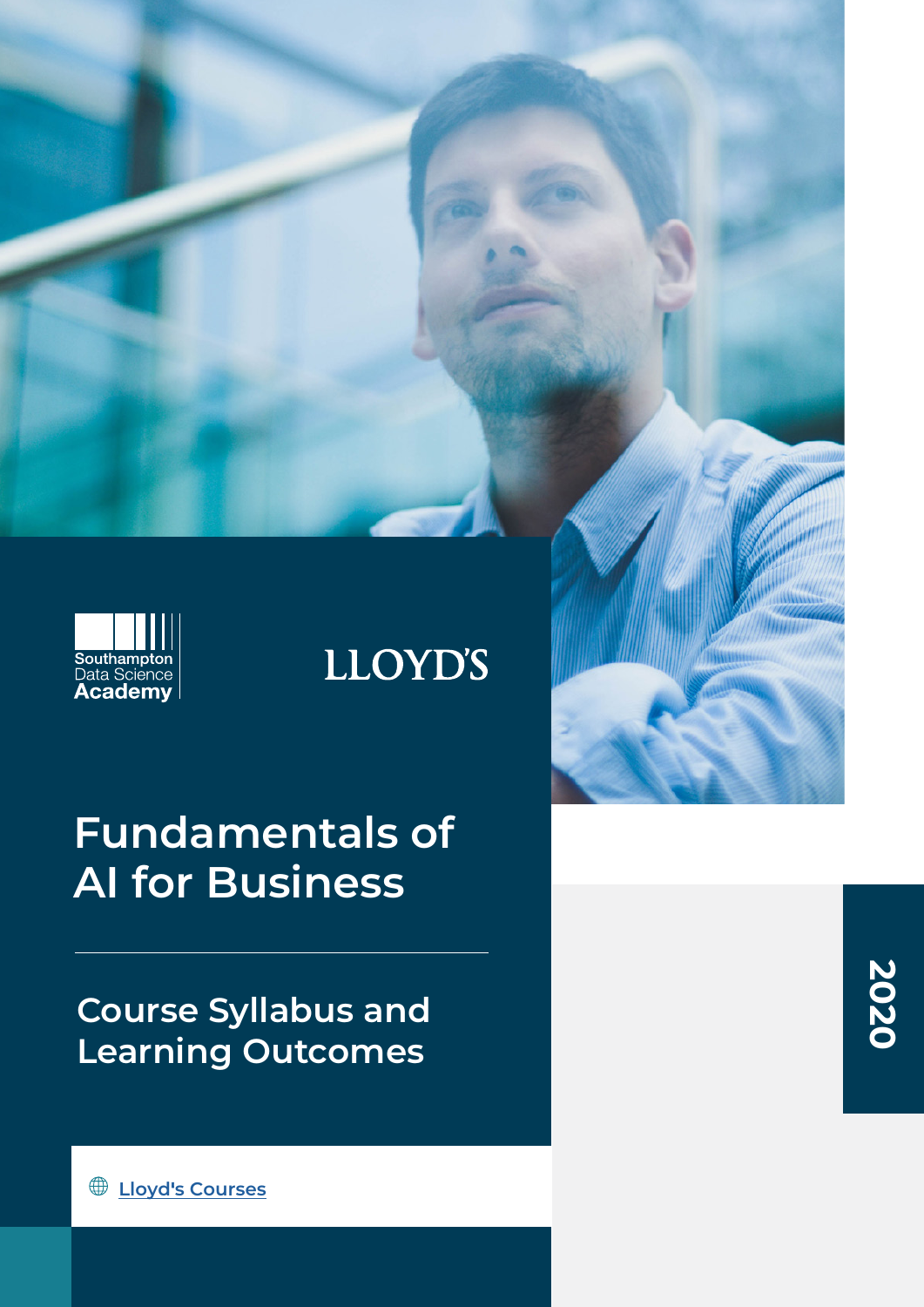

# **LLOYD'S**

# **Fundamentals of AI for Business**

**Course Syllabus and Learning Outcomes**

**2020**

**Lloyd '[s Courses](http://southamptondata.science/courses/lloyds-courses
)**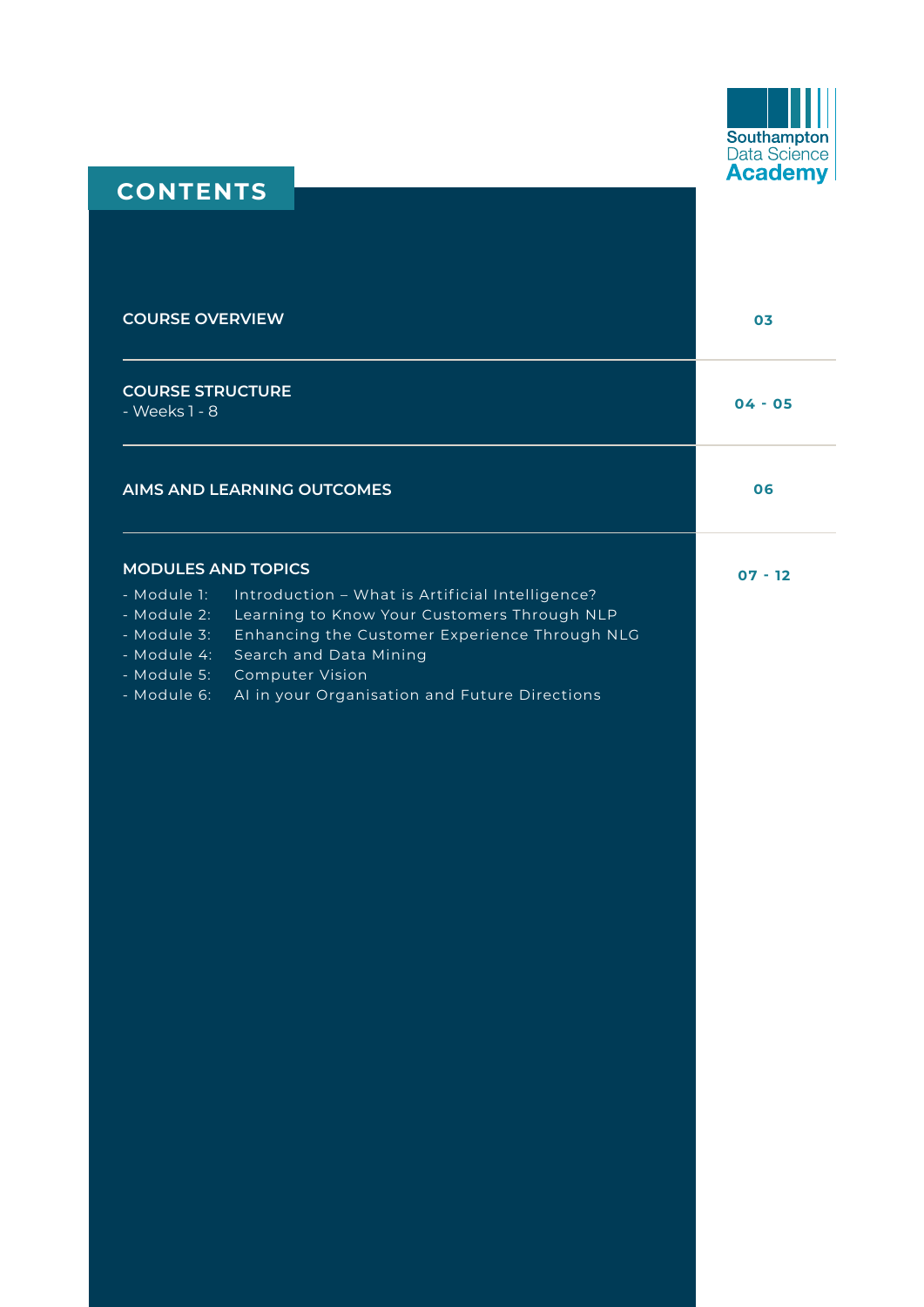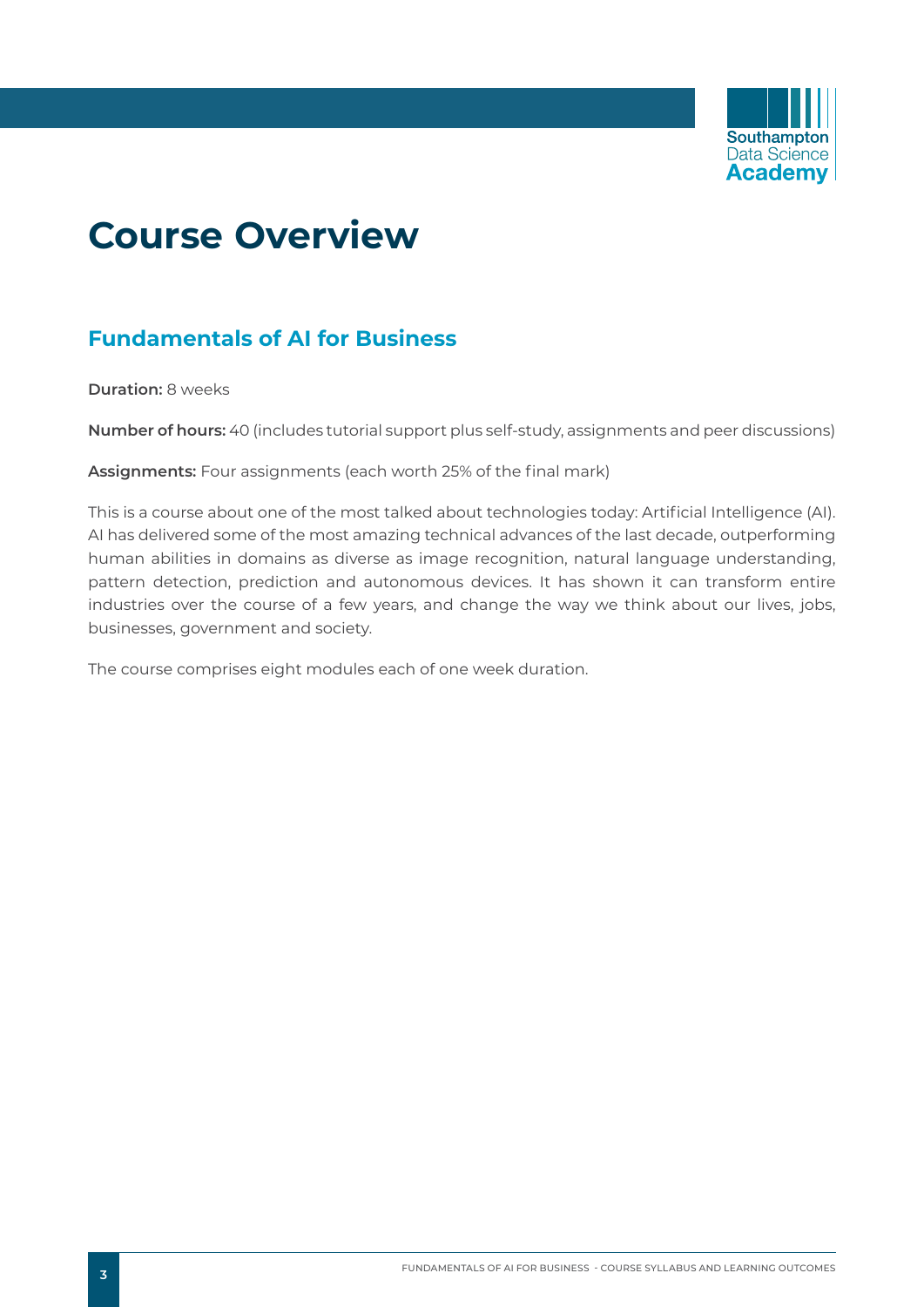

## **Course Overview**

## **Fundamentals of AI for Business**

**Duration:** 8 weeks

**Number of hours:** 40 (includes tutorial support plus self-study, assignments and peer discussions)

**Assignments:** Four assignments (each worth 25% of the final mark)

This is a course about one of the most talked about technologies today: Artificial Intelligence (AI). AI has delivered some of the most amazing technical advances of the last decade, outperforming human abilities in domains as diverse as image recognition, natural language understanding, pattern detection, prediction and autonomous devices. It has shown it can transform entire industries over the course of a few years, and change the way we think about our lives, jobs, businesses, government and society.

The course comprises eight modules each of one week duration.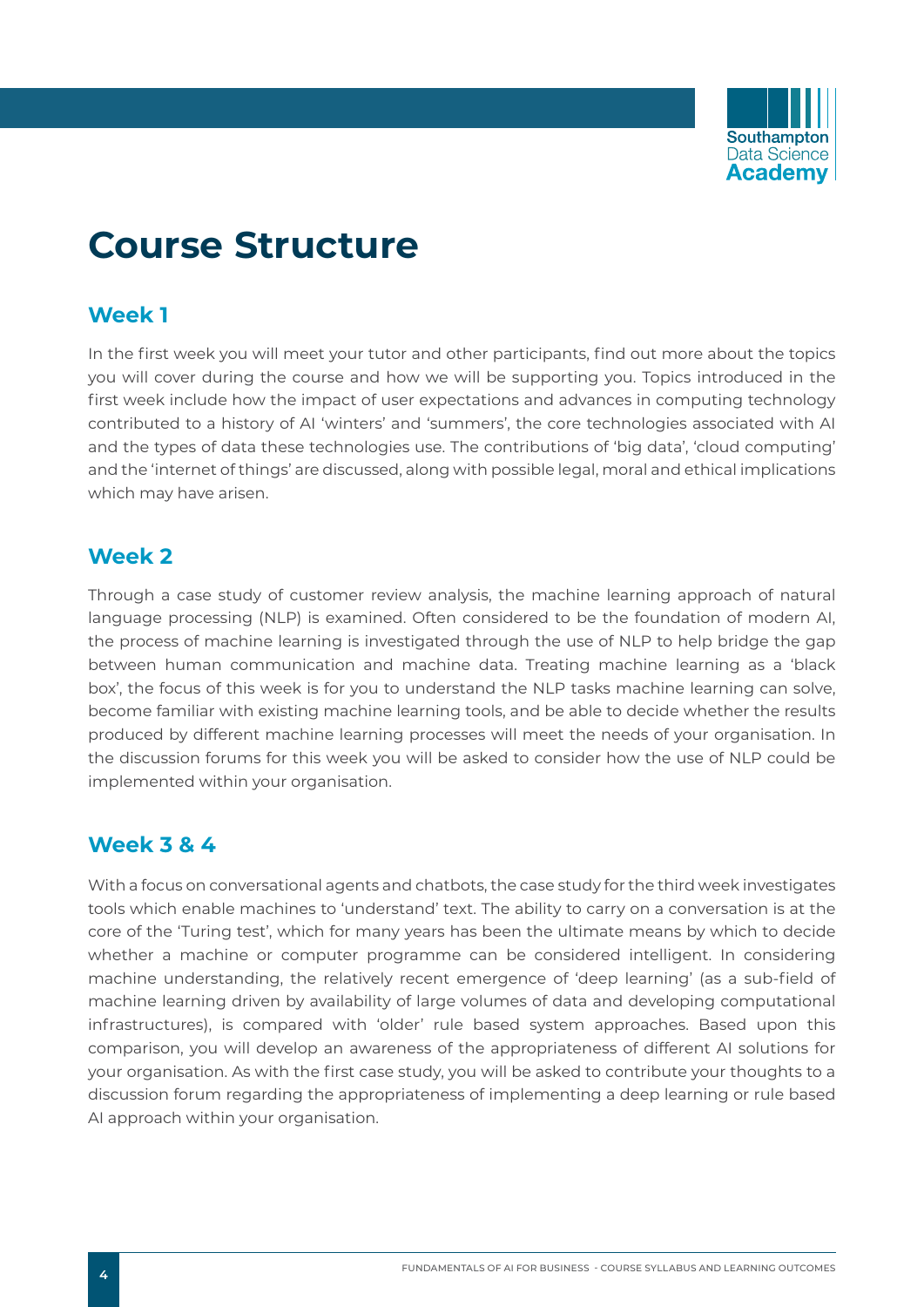

## **Course Structure**

## **Week 1**

In the first week you will meet your tutor and other participants, find out more about the topics you will cover during the course and how we will be supporting you. Topics introduced in the first week include how the impact of user expectations and advances in computing technology contributed to a history of AI 'winters' and 'summers', the core technologies associated with AI and the types of data these technologies use. The contributions of 'big data', 'cloud computing' and the 'internet of things' are discussed, along with possible legal, moral and ethical implications which may have arisen.

## **Week 2**

Through a case study of customer review analysis, the machine learning approach of natural language processing (NLP) is examined. Often considered to be the foundation of modern AI, the process of machine learning is investigated through the use of NLP to help bridge the gap between human communication and machine data. Treating machine learning as a 'black box', the focus of this week is for you to understand the NLP tasks machine learning can solve, become familiar with existing machine learning tools, and be able to decide whether the results produced by different machine learning processes will meet the needs of your organisation. In the discussion forums for this week you will be asked to consider how the use of NLP could be implemented within your organisation.

## **Week 3 & 4**

With a focus on conversational agents and chatbots, the case study for the third week investigates tools which enable machines to 'understand' text. The ability to carry on a conversation is at the core of the 'Turing test', which for many years has been the ultimate means by which to decide whether a machine or computer programme can be considered intelligent. In considering machine understanding, the relatively recent emergence of 'deep learning' (as a sub-field of machine learning driven by availability of large volumes of data and developing computational infrastructures), is compared with 'older' rule based system approaches. Based upon this comparison, you will develop an awareness of the appropriateness of different AI solutions for your organisation. As with the first case study, you will be asked to contribute your thoughts to a discussion forum regarding the appropriateness of implementing a deep learning or rule based AI approach within your organisation.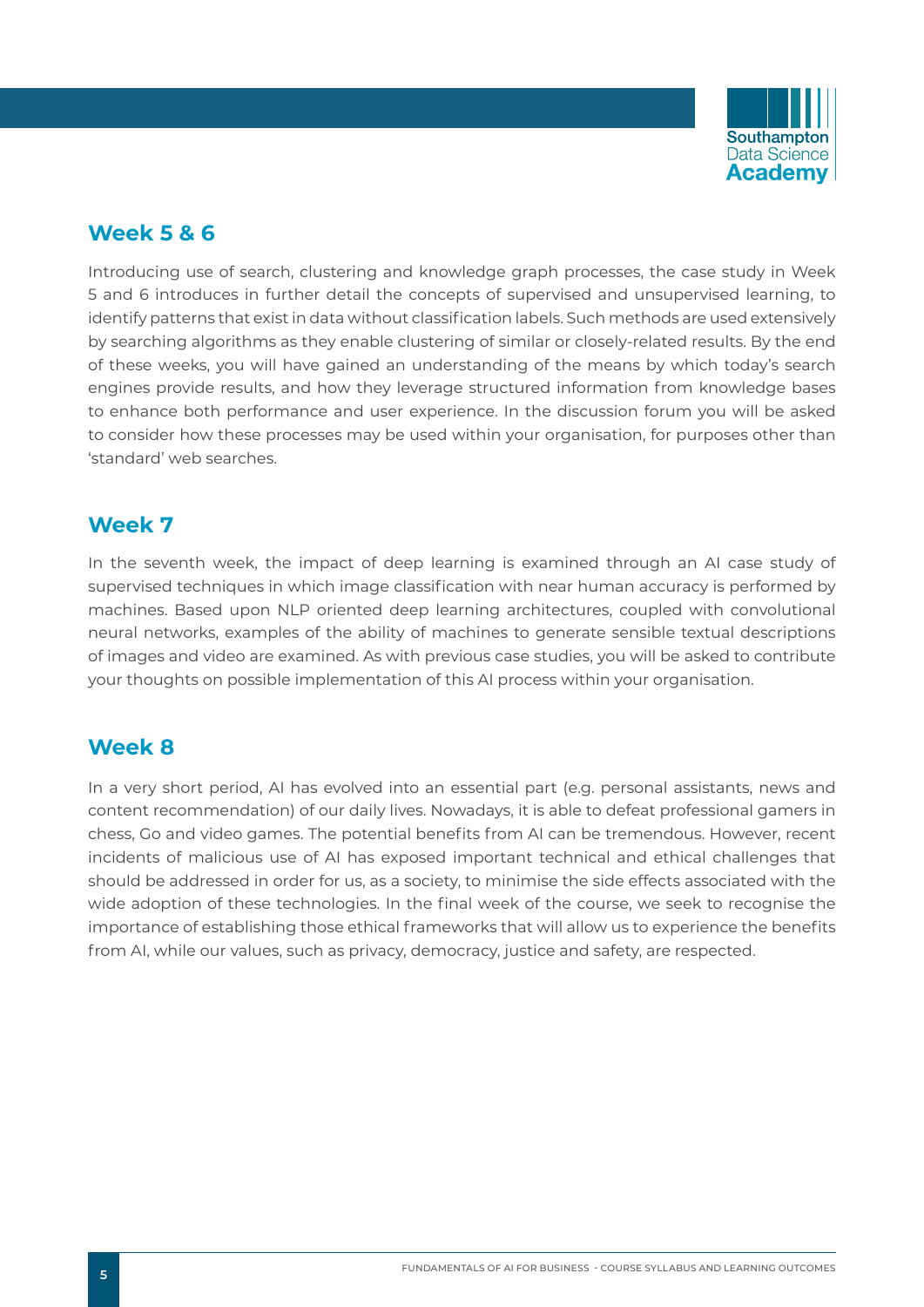

## **Week 5 & 6**

Introducing use of search, clustering and knowledge graph processes, the case study in Week 5 and 6 introduces in further detail the concepts of supervised and unsupervised learning, to identify patterns that exist in data without classification labels. Such methods are used extensively by searching algorithms as they enable clustering of similar or closely-related results. By the end of these weeks, you will have gained an understanding of the means by which today's search engines provide results, and how they leverage structured information from knowledge bases to enhance both performance and user experience. In the discussion forum you will be asked to consider how these processes may be used within your organisation, for purposes other than 'standard' web searches.

## **Week 7**

In the seventh week, the impact of deep learning is examined through an AI case study of supervised techniques in which image classification with near human accuracy is performed by machines. Based upon NLP oriented deep learning architectures, coupled with convolutional neural networks, examples of the ability of machines to generate sensible textual descriptions of images and video are examined. As with previous case studies, you will be asked to contribute your thoughts on possible implementation of this AI process within your organisation.

## **Week 8**

In a very short period, AI has evolved into an essential part (e.g. personal assistants, news and content recommendation) of our daily lives. Nowadays, it is able to defeat professional gamers in chess, Go and video games. The potential benefits from AI can be tremendous. However, recent incidents of malicious use of AI has exposed important technical and ethical challenges that should be addressed in order for us, as a society, to minimise the side effects associated with the wide adoption of these technologies. In the final week of the course, we seek to recognise the importance of establishing those ethical frameworks that will allow us to experience the benefits from AI, while our values, such as privacy, democracy, justice and safety, are respected.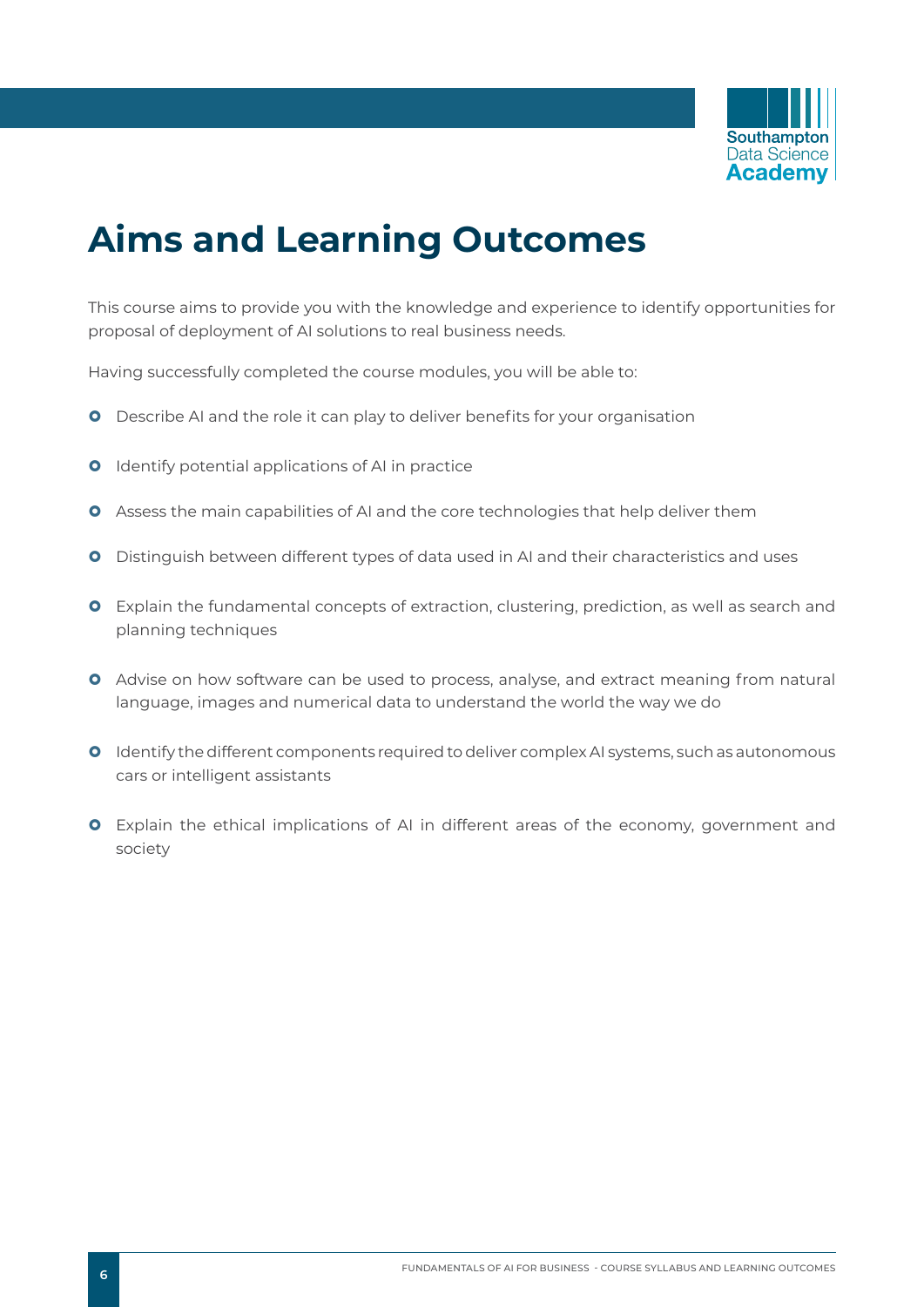

## **Aims and Learning Outcomes**

This course aims to provide you with the knowledge and experience to identify opportunities for proposal of deployment of AI solutions to real business needs.

Having successfully completed the course modules, you will be able to:

- **O** Describe AI and the role it can play to deliver benefits for your organisation
- **O** Identify potential applications of AI in practice
- **O** Assess the main capabilities of AI and the core technologies that help deliver them
- **O** Distinguish between different types of data used in AI and their characteristics and uses
- **O** Explain the fundamental concepts of extraction, clustering, prediction, as well as search and planning techniques
- **O** Advise on how software can be used to process, analyse, and extract meaning from natural language, images and numerical data to understand the world the way we do
- **O** Identify the different components required to deliver complex AI systems, such as autonomous cars or intelligent assistants
- **O** Explain the ethical implications of AI in different areas of the economy, government and society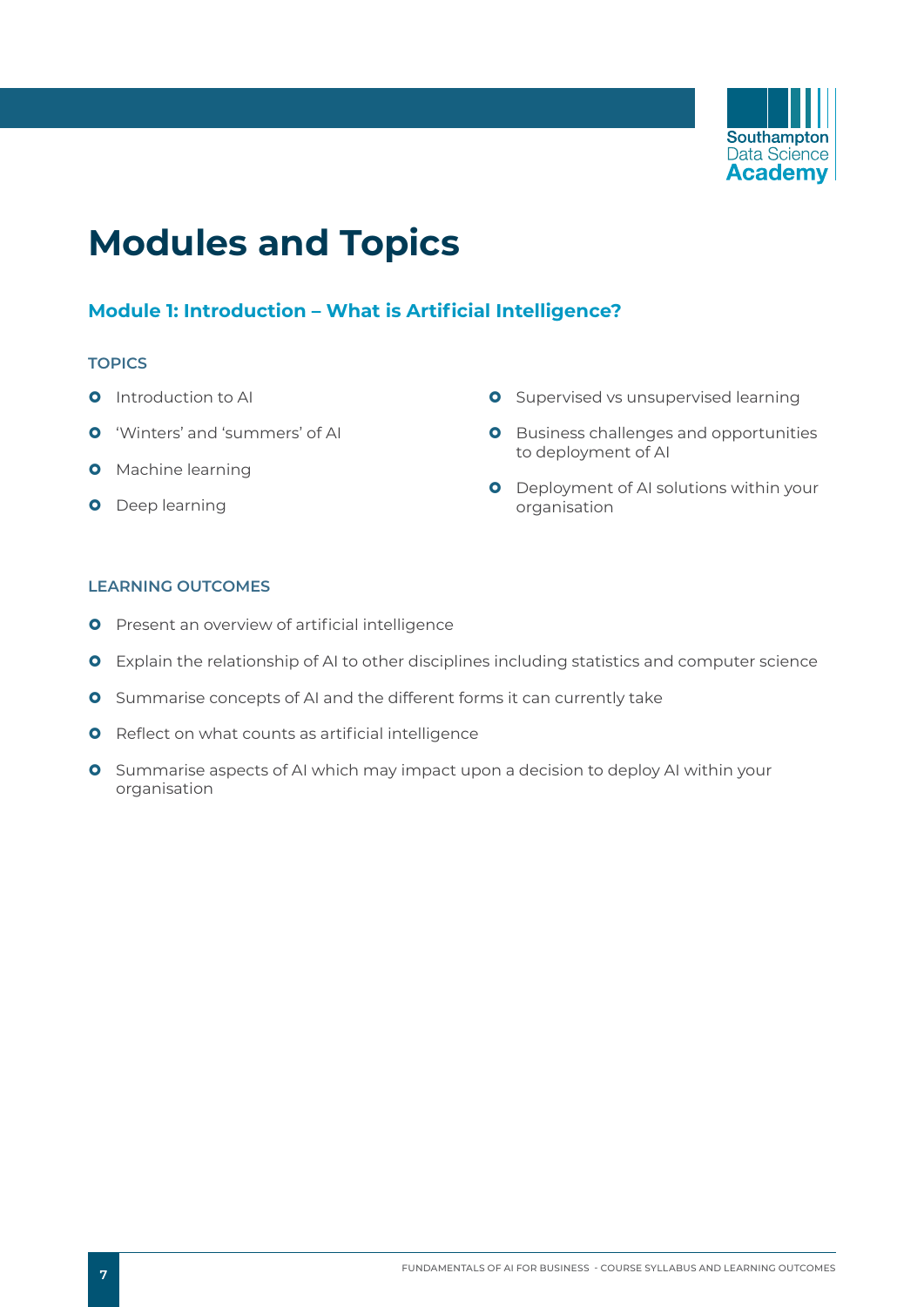

## **Modules and Topics**

## **Module 1: Introduction – What is Artificial Intelligence?**

#### **TOPICS**

- **O** Introduction to AI
- **O** 'Winters' and 'summers' of AI
- **O** Machine learning
- **O** Deep learning
- **O** Supervised vs unsupervised learning
- **O** Business challenges and opportunities to deployment of AI
- **O** Deployment of AI solutions within your organisation

- **O** Present an overview of artificial intelligence
- **O** Explain the relationship of AI to other disciplines including statistics and computer science
- **O** Summarise concepts of AI and the different forms it can currently take
- **O** Reflect on what counts as artificial intelligence
- **O** Summarise aspects of AI which may impact upon a decision to deploy AI within your organisation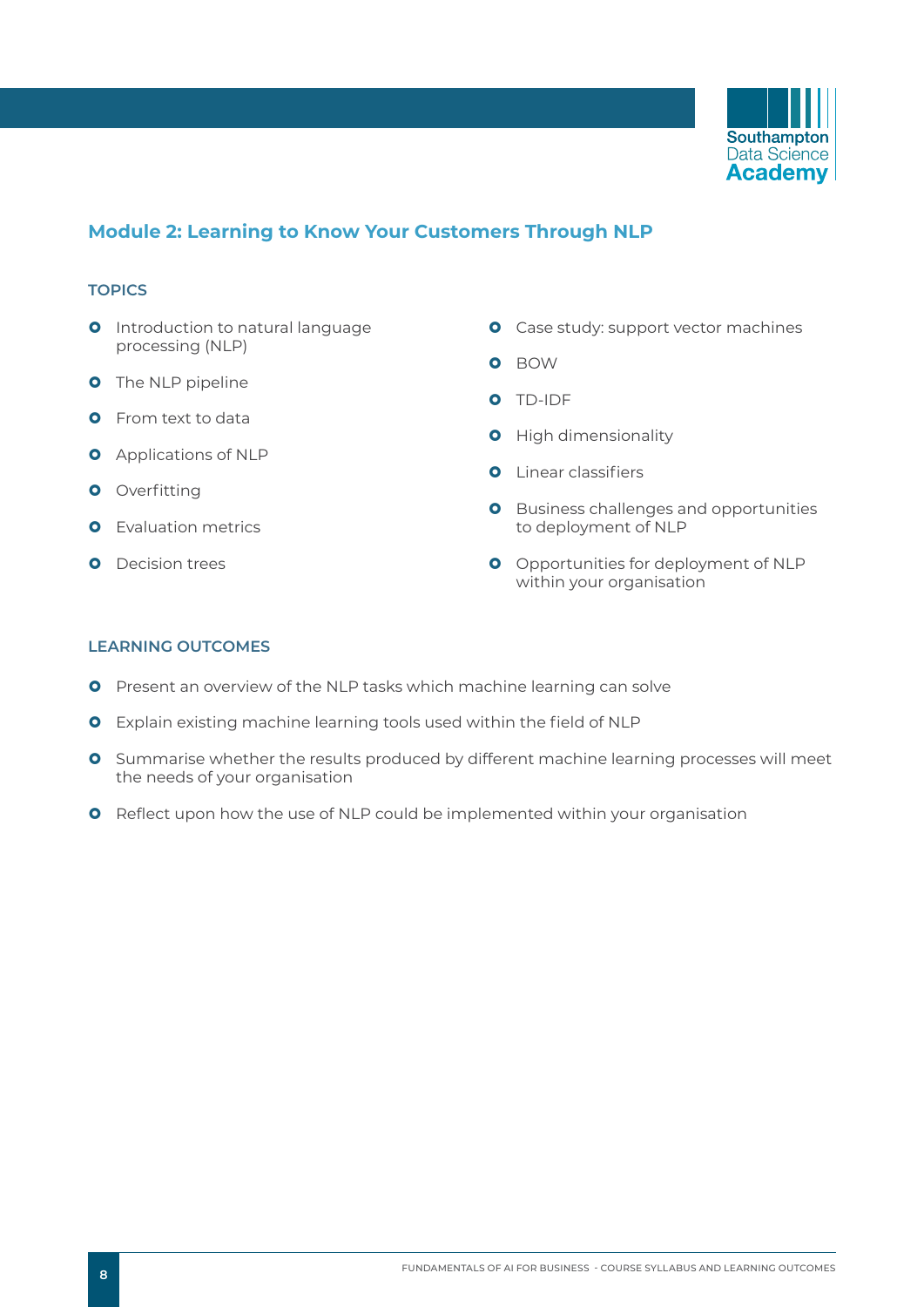

### **Module 2: Learning to Know Your Customers Through NLP**

#### **TOPICS**

- **O** Introduction to natural language processing (NLP)
- **O** The NLP pipeline
- **O** From text to data
- **O** Applications of NLP
- **O** Overfitting
- **O** Evaluation metrics
- **O** Decision trees
- **O** Case study: support vector machines
- **O** BOW
- } TD-IDF
- **O** High dimensionality
- **O** Linear classifiers
- **O** Business challenges and opportunities to deployment of NLP
- **O** Opportunities for deployment of NLP within your organisation

- **O** Present an overview of the NLP tasks which machine learning can solve
- **O** Explain existing machine learning tools used within the field of NLP
- **O** Summarise whether the results produced by different machine learning processes will meet the needs of your organisation
- **O** Reflect upon how the use of NLP could be implemented within your organisation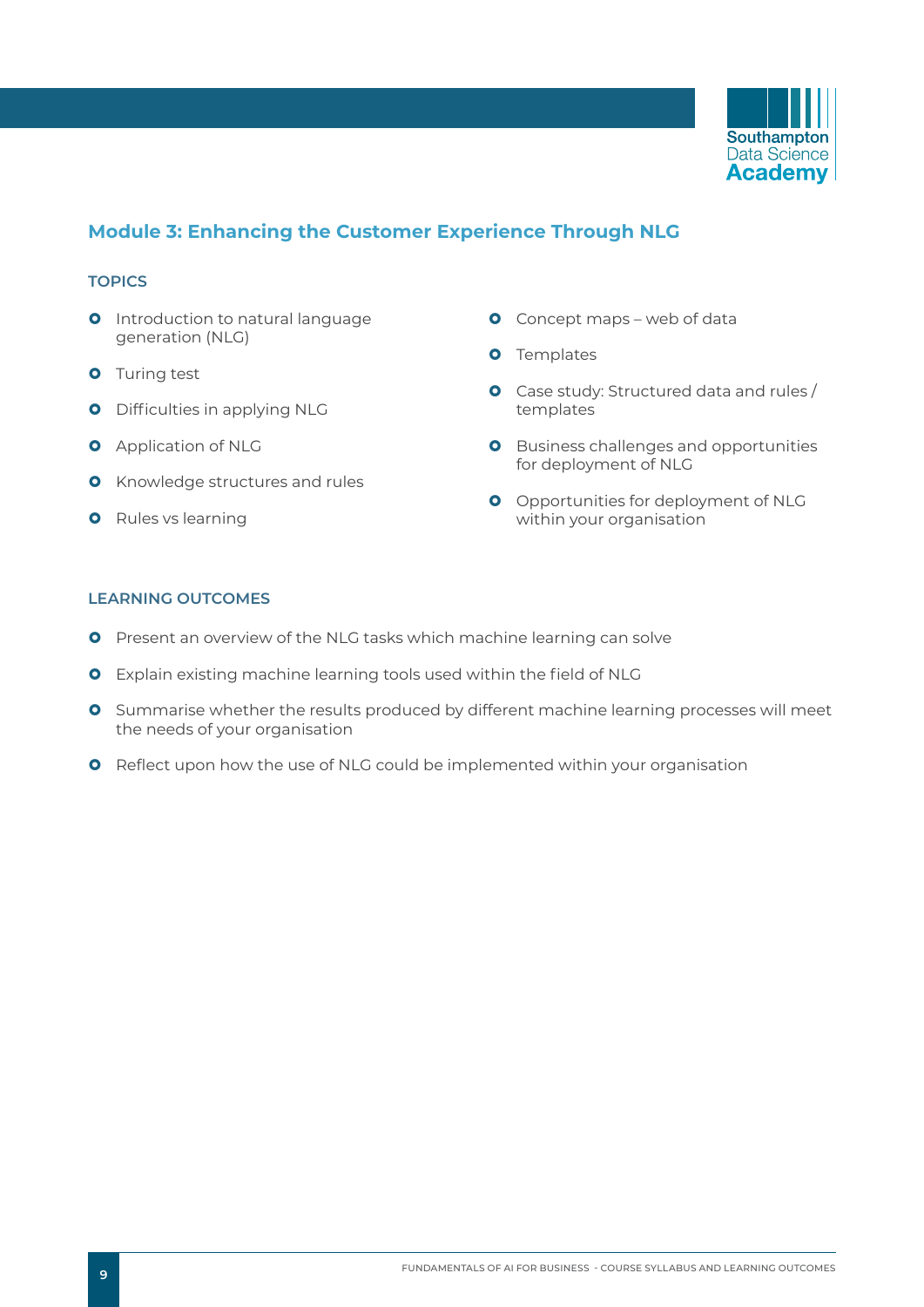

## **Module 3: Enhancing the Customer Experience Through NLG**

#### **TOPICS**

- **O** Introduction to natural language generation (NLG)
- **O** Turing test
- **O** Difficulties in applying NLG
- **O** Application of NLG
- **O** Knowledge structures and rules
- **O** Rules vs learning
- **O** Concept maps web of data
- **O** Templates
- **O** Case study: Structured data and rules / templates
- **O** Business challenges and opportunities for deployment of NLG
- **O** Opportunities for deployment of NLG within your organisation

- **O** Present an overview of the NLG tasks which machine learning can solve
- **O** Explain existing machine learning tools used within the field of NLG
- **O** Summarise whether the results produced by different machine learning processes will meet the needs of your organisation
- **O** Reflect upon how the use of NLG could be implemented within your organisation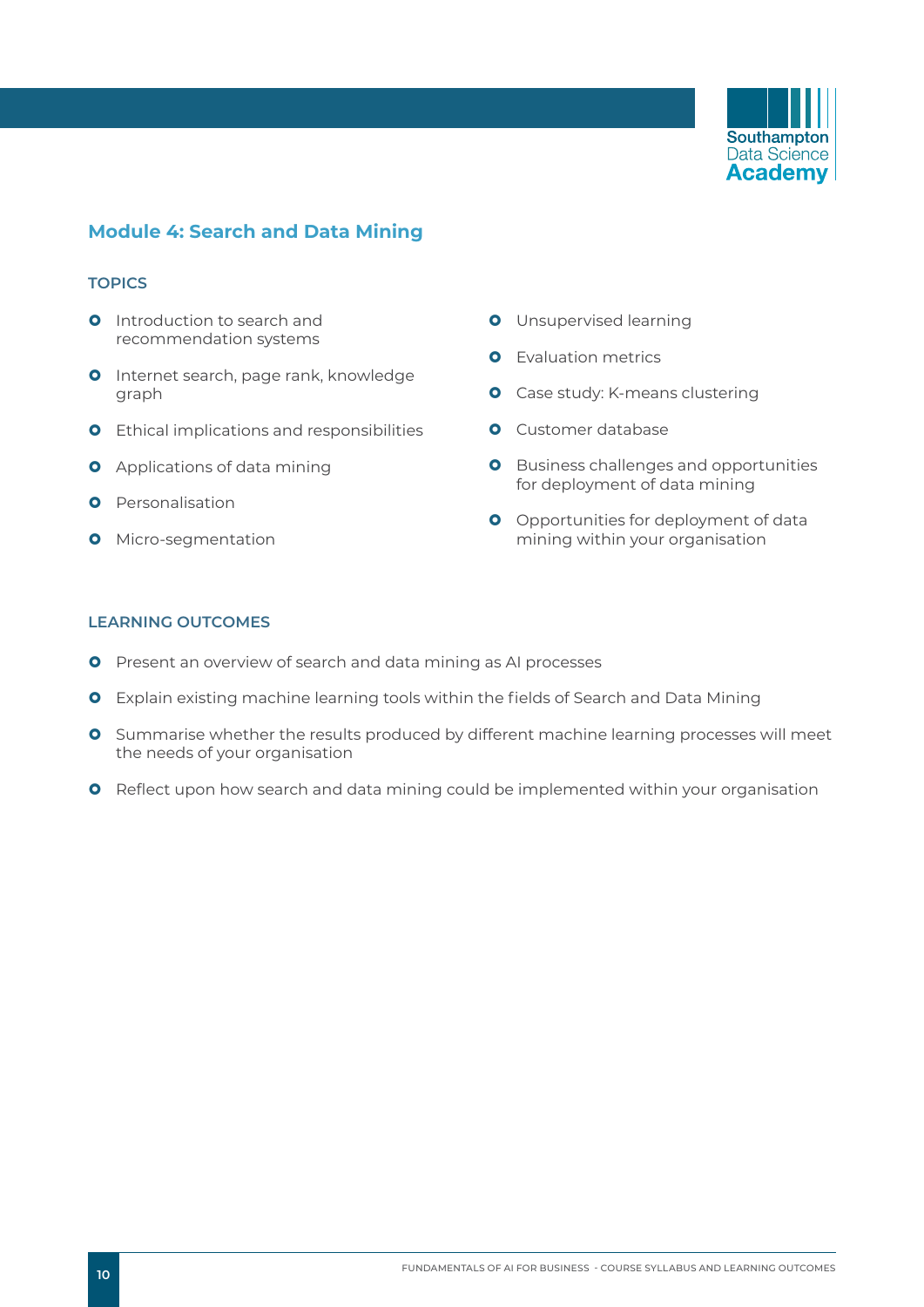

### **Module 4: Search and Data Mining**

#### **TOPICS**

- **Q** Introduction to search and recommendation systems
- **O** Internet search, page rank, knowledge graph
- **O** Ethical implications and responsibilities
- **O** Applications of data mining
- **O** Personalisation
- **O** Micro-segmentation
- **O** Unsupervised learning
- **O** Evaluation metrics
- **O** Case study: K-means clustering
- **O** Customer database
- **O** Business challenges and opportunities for deployment of data mining
- **O** Opportunities for deployment of data mining within your organisation

- **O** Present an overview of search and data mining as AI processes
- **O** Explain existing machine learning tools within the fields of Search and Data Mining
- **O** Summarise whether the results produced by different machine learning processes will meet the needs of your organisation
- **O** Reflect upon how search and data mining could be implemented within your organisation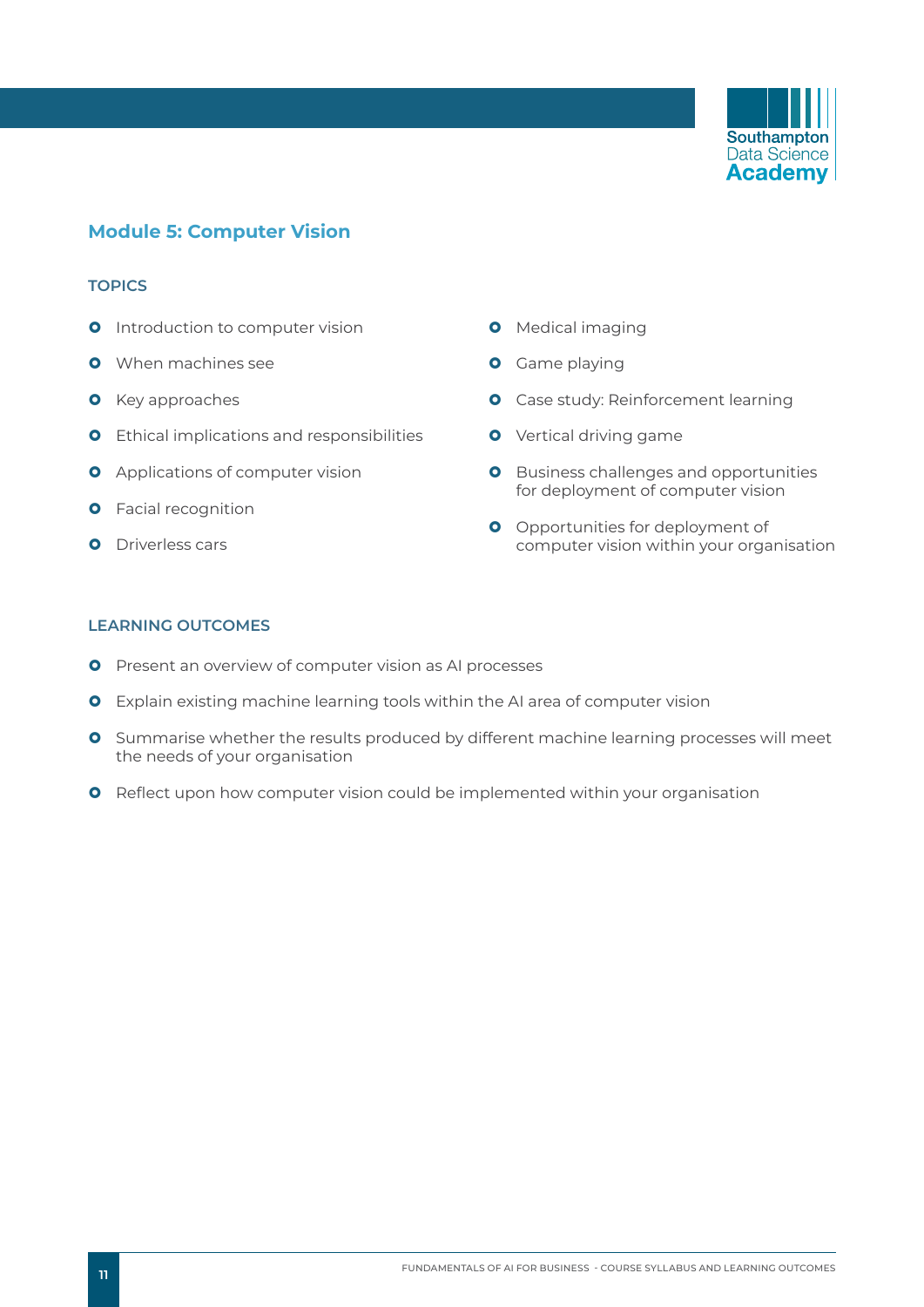

### **Module 5: Computer Vision**

#### **TOPICS**

- **O** Introduction to computer vision
- **O** When machines see
- **O** Key approaches
- **O** Ethical implications and responsibilities
- **O** Applications of computer vision
- **O** Facial recognition
- **O** Driverless cars
- **O** Medical imaging
- **O** Game playing
- **O** Case study: Reinforcement learning
- **O** Vertical driving game
- **O** Business challenges and opportunities for deployment of computer vision
- **O** Opportunities for deployment of computer vision within your organisation

- **O** Present an overview of computer vision as AI processes
- **O** Explain existing machine learning tools within the AI area of computer vision
- **O** Summarise whether the results produced by different machine learning processes will meet the needs of your organisation
- **O** Reflect upon how computer vision could be implemented within your organisation